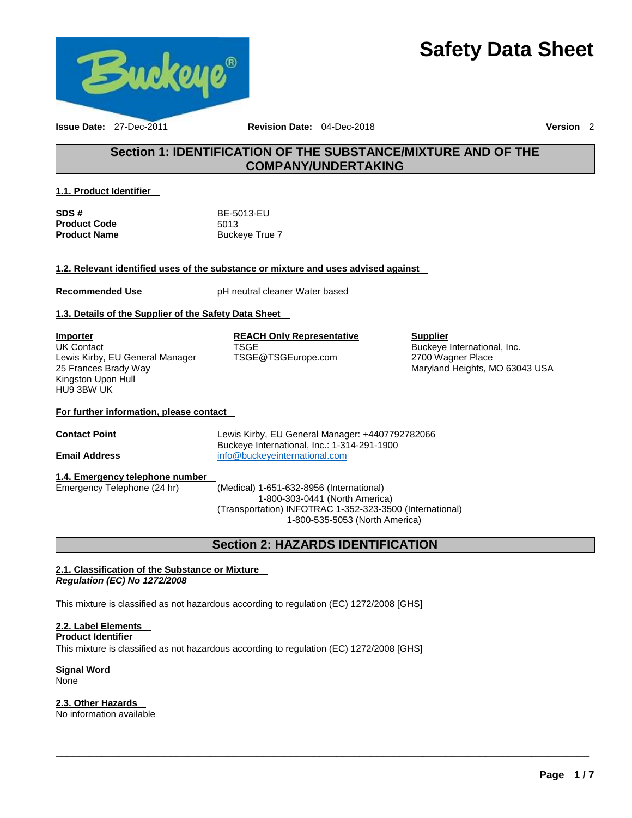# **Safety Data Sheet**



**Issue Date:** 27-Dec-2011 **Revision Date:** 04-Dec-2018 **Version** 2

### **Section 1: IDENTIFICATION OF THE SUBSTANCE/MIXTURE AND OF THE COMPANY/UNDERTAKING**

### **1.1. Product Identifier**

| SDS #               | BE-5013-EU     |
|---------------------|----------------|
| <b>Product Code</b> | 5013           |
| <b>Product Name</b> | Buckeye True 7 |

### **1.2. Relevant identified uses of the substance or mixture and uses advised against**

**Recommended Use pH** neutral cleaner Water based

### **1.3. Details of the Supplier of the Safety Data Sheet**

**Importer** UK Contact Lewis Kirby, EU General Manager 25 Frances Brady Way Kingston Upon Hull HU9 3BW UK

#### **REACH Only Representative TSGE**

TSGE@TSGEurope.com

### **Supplier** Buckeye International, Inc. 2700 Wagner Place Maryland Heights, MO 63043 USA

### **For further information, please contact**

**Contact Point** Lewis Kirby, EU General Manager: +4407792782066 Buckeye International, Inc.: 1-314-291-1900 **Email Address** [info@buckeyeinternational.com](mailto:info@buckeyeinternational.com)

### **1.4. Emergency telephone number**

Emergency Telephone (24 hr) (Medical) 1-651-632-8956 (International) 1-800-303-0441 (North America) (Transportation) INFOTRAC 1-352-323-3500 (International) 1-800-535-5053 (North America)

### **Section 2: HAZARDS IDENTIFICATION**

\_\_\_\_\_\_\_\_\_\_\_\_\_\_\_\_\_\_\_\_\_\_\_\_\_\_\_\_\_\_\_\_\_\_\_\_\_\_\_\_\_\_\_\_\_\_\_\_\_\_\_\_\_\_\_\_\_\_\_\_\_\_\_\_\_\_\_\_\_\_\_\_\_\_\_\_\_\_\_\_\_\_\_\_\_\_\_\_\_\_\_\_\_

### **2.1. Classification of the Substance or Mixture**  *Regulation (EC) No 1272/2008*

This mixture is classified as not hazardous according to regulation (EC) 1272/2008 [GHS]

### **2.2. Label Elements**

**Product Identifier** 

This mixture is classified as not hazardous according to regulation (EC) 1272/2008 [GHS]

**Signal Word** None

### **2.3. Other Hazards**

No information available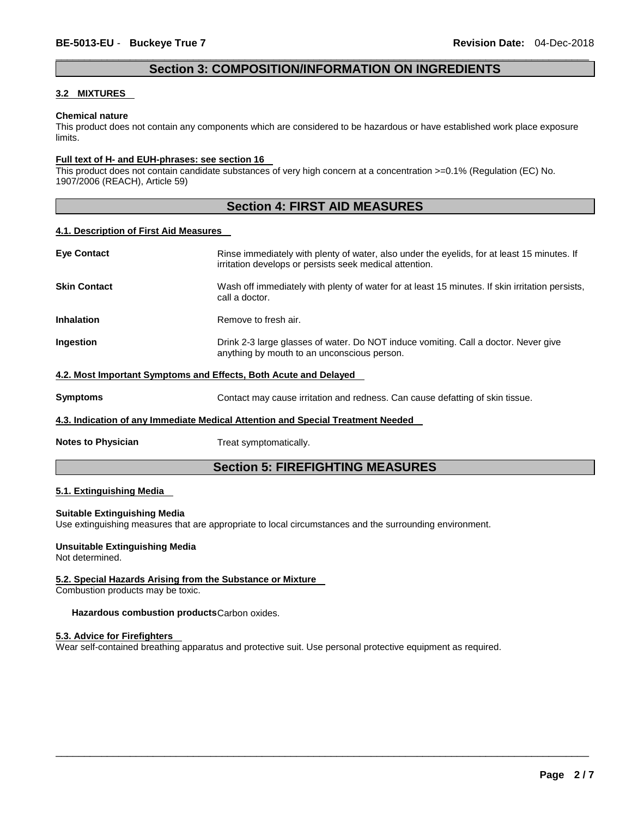### \_\_\_\_\_\_\_\_\_\_\_\_\_\_\_\_\_\_\_\_\_\_\_\_\_\_\_\_\_\_\_\_\_\_\_\_\_\_\_\_\_\_\_\_\_\_\_\_\_\_\_\_\_\_\_\_\_\_\_\_\_\_\_\_\_\_\_\_\_\_\_\_\_\_\_\_\_\_\_\_\_\_\_\_\_\_\_\_\_\_\_\_\_ **Section 3: COMPOSITION/INFORMATION ON INGREDIENTS**

### **3.2 MIXTURES**

#### **Chemical nature**

This product does not contain any components which are considered to be hazardous or have established work place exposure limits.

### **Full text of H- and EUH-phrases: see section 16**

This product does not contain candidate substances of very high concern at a concentration >=0.1% (Regulation (EC) No. 1907/2006 (REACH), Article 59)

### **Section 4: FIRST AID MEASURES**

### **4.1. Description of First Aid Measures**

| <b>Eye Contact</b>                                                              | Rinse immediately with plenty of water, also under the eyelids, for at least 15 minutes. If<br>irritation develops or persists seek medical attention. |  |  |
|---------------------------------------------------------------------------------|--------------------------------------------------------------------------------------------------------------------------------------------------------|--|--|
| <b>Skin Contact</b>                                                             | Wash off immediately with plenty of water for at least 15 minutes. If skin irritation persists,<br>call a doctor.                                      |  |  |
| <b>Inhalation</b>                                                               | Remove to fresh air.                                                                                                                                   |  |  |
| Ingestion                                                                       | Drink 2-3 large glasses of water. Do NOT induce vomiting. Call a doctor. Never give<br>anything by mouth to an unconscious person.                     |  |  |
| 4.2. Most Important Symptoms and Effects, Both Acute and Delayed                |                                                                                                                                                        |  |  |
| <b>Symptoms</b>                                                                 | Contact may cause irritation and redness. Can cause defatting of skin tissue.                                                                          |  |  |
| 4.3. Indication of any Immediate Medical Attention and Special Treatment Needed |                                                                                                                                                        |  |  |
| <b>Notes to Physician</b>                                                       | Treat symptomatically.                                                                                                                                 |  |  |

### **Section 5: FIREFIGHTING MEASURES**

\_\_\_\_\_\_\_\_\_\_\_\_\_\_\_\_\_\_\_\_\_\_\_\_\_\_\_\_\_\_\_\_\_\_\_\_\_\_\_\_\_\_\_\_\_\_\_\_\_\_\_\_\_\_\_\_\_\_\_\_\_\_\_\_\_\_\_\_\_\_\_\_\_\_\_\_\_\_\_\_\_\_\_\_\_\_\_\_\_\_\_\_\_

### **5.1. Extinguishing Media**

### **Suitable Extinguishing Media**

Use extinguishing measures that are appropriate to local circumstances and the surrounding environment.

### **Unsuitable Extinguishing Media**

Not determined.

### **5.2. Special Hazards Arising from the Substance or Mixture**

Combustion products may be toxic.

### **Hazardous combustion products** Carbon oxides.

### **5.3. Advice for Firefighters**

Wear self-contained breathing apparatus and protective suit. Use personal protective equipment as required.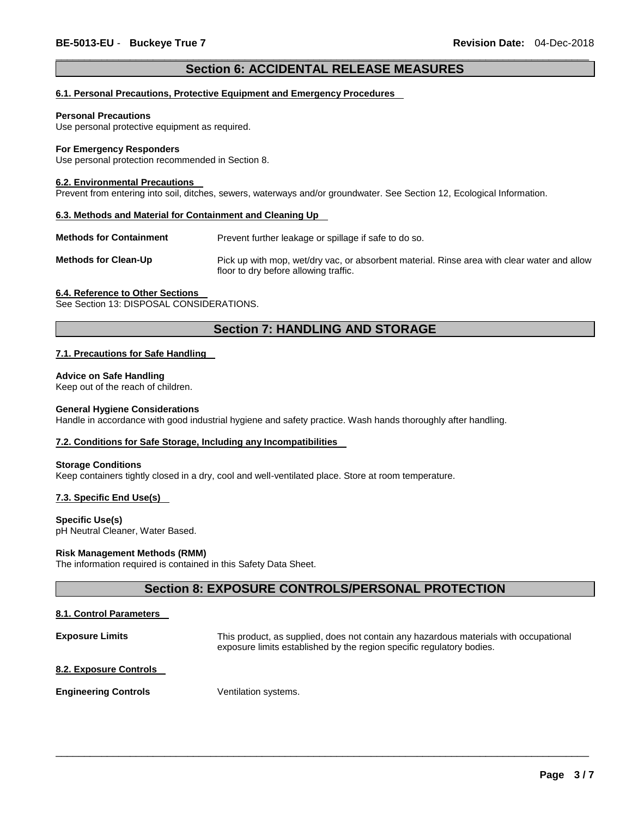### \_\_\_\_\_\_\_\_\_\_\_\_\_\_\_\_\_\_\_\_\_\_\_\_\_\_\_\_\_\_\_\_\_\_\_\_\_\_\_\_\_\_\_\_\_\_\_\_\_\_\_\_\_\_\_\_\_\_\_\_\_\_\_\_\_\_\_\_\_\_\_\_\_\_\_\_\_\_\_\_\_\_\_\_\_\_\_\_\_\_\_\_\_ **Section 6: ACCIDENTAL RELEASE MEASURES**

### **6.1. Personal Precautions, Protective Equipment and Emergency Procedures**

#### **Personal Precautions**

Use personal protective equipment as required.

#### **For Emergency Responders**

Use personal protection recommended in Section 8.

#### **6.2. Environmental Precautions**

Prevent from entering into soil, ditches, sewers, waterways and/or groundwater. See Section 12, Ecological Information.

#### **6.3. Methods and Material for Containment and Cleaning Up**

**Methods for Containment** Prevent further leakage or spillage if safe to do so.

**Methods for Clean-Up** Pick up with mop, wet/dry vac, or absorbent material. Rinse area with clear water and allow floor to dry before allowing traffic.

#### **6.4. Reference to Other Sections**

See Section 13: DISPOSAL CONSIDERATIONS.

### **Section 7: HANDLING AND STORAGE**

### **7.1. Precautions for Safe Handling**

### **Advice on Safe Handling**

Keep out of the reach of children.

### **General Hygiene Considerations**

Handle in accordance with good industrial hygiene and safety practice. Wash hands thoroughly after handling.

### **7.2. Conditions for Safe Storage, Including any Incompatibilities**

#### **Storage Conditions**

Keep containers tightly closed in a dry, cool and well-ventilated place. Store at room temperature.

### **7.3. Specific End Use(s)**

**Specific Use(s)** pH Neutral Cleaner, Water Based.

### **Risk Management Methods (RMM)**

The information required is contained in this Safety Data Sheet.

### **Section 8: EXPOSURE CONTROLS/PERSONAL PROTECTION**

### **8.1. Control Parameters**

**Exposure Limits** This product, as supplied, does not contain any hazardous materials with occupational exposure limits established by the region specific regulatory bodies.

\_\_\_\_\_\_\_\_\_\_\_\_\_\_\_\_\_\_\_\_\_\_\_\_\_\_\_\_\_\_\_\_\_\_\_\_\_\_\_\_\_\_\_\_\_\_\_\_\_\_\_\_\_\_\_\_\_\_\_\_\_\_\_\_\_\_\_\_\_\_\_\_\_\_\_\_\_\_\_\_\_\_\_\_\_\_\_\_\_\_\_\_\_

### **8.2. Exposure Controls**

**Engineering Controls Ventilation systems.**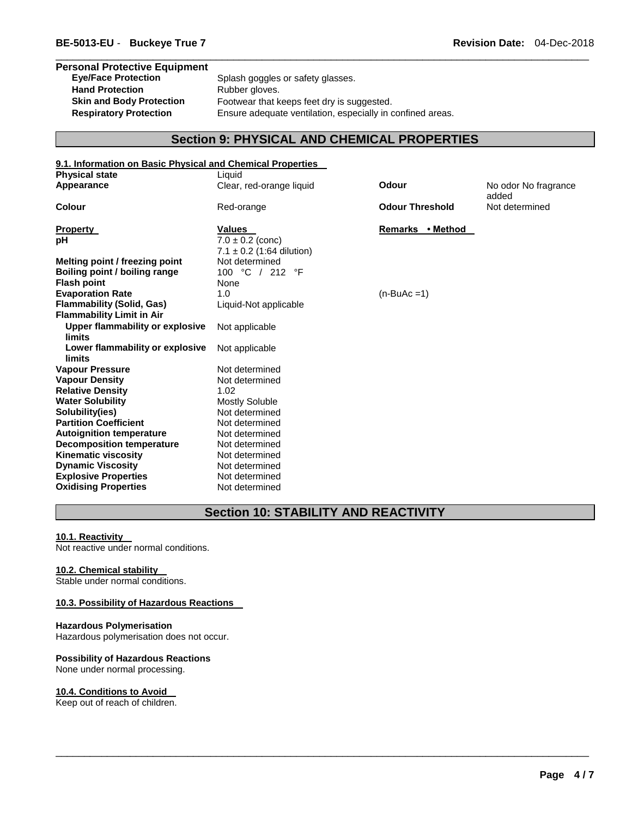# **Personal Protective Equipment**  Hand Protection **Rubber gloves**.

Splash goggles or safety glasses. **Skin and Body Protection** Footwear that keeps feet dry is suggested. **Respiratory Protection** Ensure adequate ventilation, especially in confined areas.

\_\_\_\_\_\_\_\_\_\_\_\_\_\_\_\_\_\_\_\_\_\_\_\_\_\_\_\_\_\_\_\_\_\_\_\_\_\_\_\_\_\_\_\_\_\_\_\_\_\_\_\_\_\_\_\_\_\_\_\_\_\_\_\_\_\_\_\_\_\_\_\_\_\_\_\_\_\_\_\_\_\_\_\_\_\_\_\_\_\_\_\_\_

### **Section 9: PHYSICAL AND CHEMICAL PROPERTIES**

| 9.1. Information on Basic Physical and Chemical Properties |                                                       |                                               |  |  |
|------------------------------------------------------------|-------------------------------------------------------|-----------------------------------------------|--|--|
| <b>Physical state</b>                                      | Liquid                                                |                                               |  |  |
| Appearance                                                 | Clear, red-orange liquid                              | <b>Odour</b><br>No odor No fragrance<br>added |  |  |
| <b>Colour</b>                                              | Red-orange                                            | <b>Odour Threshold</b><br>Not determined      |  |  |
| <b>Property</b>                                            | <b>Values</b>                                         | Remarks • Method                              |  |  |
| рH                                                         | $7.0 \pm 0.2$ (conc)<br>7.1 $\pm$ 0.2 (1:64 dilution) |                                               |  |  |
| Melting point / freezing point                             | Not determined                                        |                                               |  |  |
| Boiling point / boiling range                              | 100 °C / 212 °F                                       |                                               |  |  |
| <b>Flash point</b>                                         | None                                                  |                                               |  |  |
| <b>Evaporation Rate</b>                                    | 1.0                                                   | $(n-BuAc=1)$                                  |  |  |
| <b>Flammability (Solid, Gas)</b>                           | Liquid-Not applicable                                 |                                               |  |  |
| <b>Flammability Limit in Air</b>                           |                                                       |                                               |  |  |
| Upper flammability or explosive<br>limits                  | Not applicable                                        |                                               |  |  |
| Lower flammability or explosive<br><b>limits</b>           | Not applicable                                        |                                               |  |  |
| <b>Vapour Pressure</b>                                     | Not determined                                        |                                               |  |  |
| <b>Vapour Density</b>                                      | Not determined                                        |                                               |  |  |
| <b>Relative Density</b>                                    | 1.02                                                  |                                               |  |  |
| <b>Water Solubility</b>                                    | <b>Mostly Soluble</b>                                 |                                               |  |  |
| Solubility(ies)                                            | Not determined                                        |                                               |  |  |
| <b>Partition Coefficient</b>                               | Not determined                                        |                                               |  |  |
| <b>Autoignition temperature</b>                            | Not determined                                        |                                               |  |  |
| <b>Decomposition temperature</b>                           | Not determined                                        |                                               |  |  |
| <b>Kinematic viscosity</b>                                 | Not determined                                        |                                               |  |  |
| <b>Dynamic Viscosity</b>                                   | Not determined                                        |                                               |  |  |
| <b>Explosive Properties</b>                                | Not determined                                        |                                               |  |  |
| <b>Oxidising Properties</b>                                | Not determined                                        |                                               |  |  |

### **Section 10: STABILITY AND REACTIVITY**

\_\_\_\_\_\_\_\_\_\_\_\_\_\_\_\_\_\_\_\_\_\_\_\_\_\_\_\_\_\_\_\_\_\_\_\_\_\_\_\_\_\_\_\_\_\_\_\_\_\_\_\_\_\_\_\_\_\_\_\_\_\_\_\_\_\_\_\_\_\_\_\_\_\_\_\_\_\_\_\_\_\_\_\_\_\_\_\_\_\_\_\_\_

### **10.1. Reactivity**

Not reactive under normal conditions.

### **10.2. Chemical stability**

Stable under normal conditions.

### **10.3. Possibility of Hazardous Reactions**

### **Hazardous Polymerisation**

Hazardous polymerisation does not occur.

### **Possibility of Hazardous Reactions**

None under normal processing.

### **10.4. Conditions to Avoid**

Keep out of reach of children.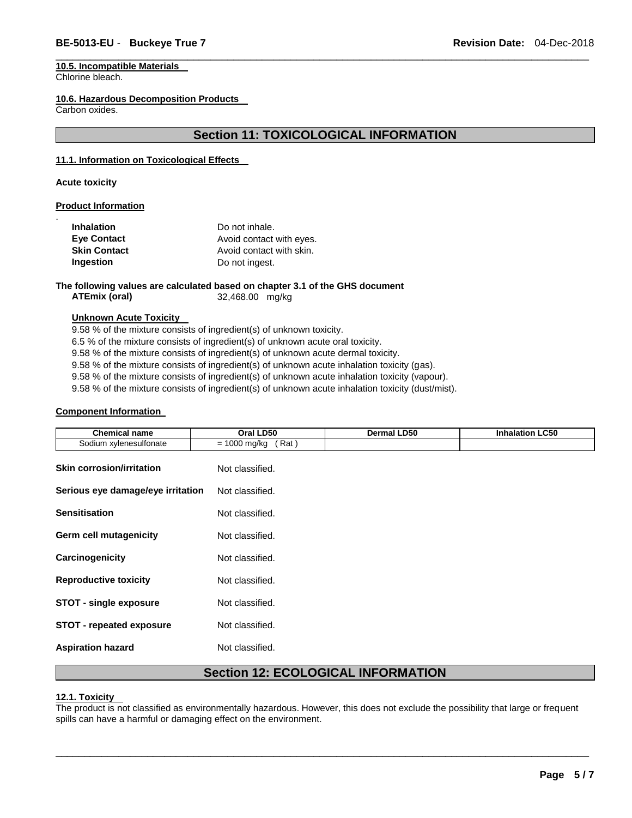## **10.5. Incompatible Materials**

Chlorine bleach.

### **10.6. Hazardous Decomposition Products**

Carbon oxides.

### **Section 11: TOXICOLOGICAL INFORMATION**

\_\_\_\_\_\_\_\_\_\_\_\_\_\_\_\_\_\_\_\_\_\_\_\_\_\_\_\_\_\_\_\_\_\_\_\_\_\_\_\_\_\_\_\_\_\_\_\_\_\_\_\_\_\_\_\_\_\_\_\_\_\_\_\_\_\_\_\_\_\_\_\_\_\_\_\_\_\_\_\_\_\_\_\_\_\_\_\_\_\_\_\_\_

### **11.1. Information on Toxicological Effects**

**Acute toxicity** 

.

### **Product Information**

| <b>Inhalation</b>   | Do not inhale.           |
|---------------------|--------------------------|
| <b>Eve Contact</b>  | Avoid contact with eyes. |
| <b>Skin Contact</b> | Avoid contact with skin. |
| Ingestion           | Do not ingest.           |

### **The following values are calculated based on chapter 3.1 of the GHS document**

**ATEmix (oral)** 32,468.00 mg/kg

### **Unknown Acute Toxicity**

9.58 % of the mixture consists of ingredient(s) of unknown toxicity.

6.5 % of the mixture consists of ingredient(s) of unknown acute oral toxicity.

9.58 % of the mixture consists of ingredient(s) of unknown acute dermal toxicity.

9.58 % of the mixture consists of ingredient(s) of unknown acute inhalation toxicity (gas).

9.58 % of the mixture consists of ingredient(s) of unknown acute inhalation toxicity (vapour).

9.58 % of the mixture consists of ingredient(s) of unknown acute inhalation toxicity (dust/mist).

### **Component Information**

| <b>Chemical name</b>              | Oral LD50              | Dermal LD50 | <b>Inhalation LC50</b> |
|-----------------------------------|------------------------|-------------|------------------------|
| Sodium xylenesulfonate            | $= 1000$ mg/kg<br>Rat) |             |                        |
| <b>Skin corrosion/irritation</b>  | Not classified.        |             |                        |
| Serious eye damage/eye irritation | Not classified.        |             |                        |
| <b>Sensitisation</b>              | Not classified.        |             |                        |
| <b>Germ cell mutagenicity</b>     | Not classified.        |             |                        |
| Carcinogenicity                   | Not classified.        |             |                        |
| <b>Reproductive toxicity</b>      | Not classified.        |             |                        |
| <b>STOT - single exposure</b>     | Not classified.        |             |                        |
| <b>STOT - repeated exposure</b>   | Not classified.        |             |                        |
| <b>Aspiration hazard</b>          | Not classified.        |             |                        |

### **Section 12: ECOLOGICAL INFORMATION**

### **12.1. Toxicity**

The product is not classified as environmentally hazardous. However, this does not exclude the possibility that large or frequent spills can have a harmful or damaging effect on the environment.

\_\_\_\_\_\_\_\_\_\_\_\_\_\_\_\_\_\_\_\_\_\_\_\_\_\_\_\_\_\_\_\_\_\_\_\_\_\_\_\_\_\_\_\_\_\_\_\_\_\_\_\_\_\_\_\_\_\_\_\_\_\_\_\_\_\_\_\_\_\_\_\_\_\_\_\_\_\_\_\_\_\_\_\_\_\_\_\_\_\_\_\_\_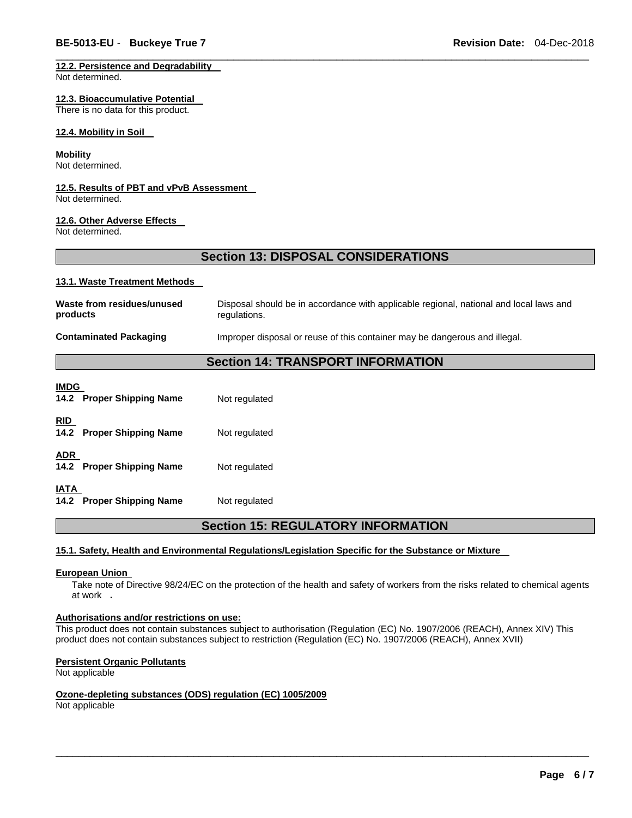### **12.2. Persistence and Degradability**

Not determined.

### **12.3. Bioaccumulative Potential**

There is no data for this product.

### **12.4. Mobility in Soil**

### **Mobility**

Not determined.

### **12.5. Results of PBT and vPvB Assessment**

Not determined.

### **12.6. Other Adverse Effects**

Not determined.

### **Section 13: DISPOSAL CONSIDERATIONS**

\_\_\_\_\_\_\_\_\_\_\_\_\_\_\_\_\_\_\_\_\_\_\_\_\_\_\_\_\_\_\_\_\_\_\_\_\_\_\_\_\_\_\_\_\_\_\_\_\_\_\_\_\_\_\_\_\_\_\_\_\_\_\_\_\_\_\_\_\_\_\_\_\_\_\_\_\_\_\_\_\_\_\_\_\_\_\_\_\_\_\_\_\_

### **13.1. Waste Treatment Methods**

| Waste from residues/unused<br>products | Disposal should be in accordance with applicable regional, national and local laws and<br>regulations. |
|----------------------------------------|--------------------------------------------------------------------------------------------------------|
| <b>Contaminated Packaging</b>          | Improper disposal or reuse of this container may be dangerous and illegal.                             |
|                                        | .                                                                                                      |

### **Section 14: TRANSPORT INFORMATION**

| <b>IMDG</b><br>14.2 Proper Shipping Name | Not regulated |
|------------------------------------------|---------------|
| <b>RID</b><br>14.2 Proper Shipping Name  | Not regulated |
| <b>ADR</b><br>14.2 Proper Shipping Name  | Not regulated |
| <b>IATA</b><br>14.2 Proper Shipping Name | Not regulated |

### **Section 15: REGULATORY INFORMATION**

### **15.1. Safety, Health and Environmental Regulations/Legislation Specific for the Substance or Mixture**

### **European Union**

Take note of Directive 98/24/EC on the protection of the health and safety of workers from the risks related to chemical agents at work **.** 

### **Authorisations and/or restrictions on use:**

This product does not contain substances subject to authorisation (Regulation (EC) No. 1907/2006 (REACH), Annex XIV) This product does not contain substances subject to restriction (Regulation (EC) No. 1907/2006 (REACH), Annex XVII)

\_\_\_\_\_\_\_\_\_\_\_\_\_\_\_\_\_\_\_\_\_\_\_\_\_\_\_\_\_\_\_\_\_\_\_\_\_\_\_\_\_\_\_\_\_\_\_\_\_\_\_\_\_\_\_\_\_\_\_\_\_\_\_\_\_\_\_\_\_\_\_\_\_\_\_\_\_\_\_\_\_\_\_\_\_\_\_\_\_\_\_\_\_

### **Persistent Organic Pollutants**

Not applicable

### **Ozone-depleting substances (ODS) regulation (EC) 1005/2009**

Not applicable